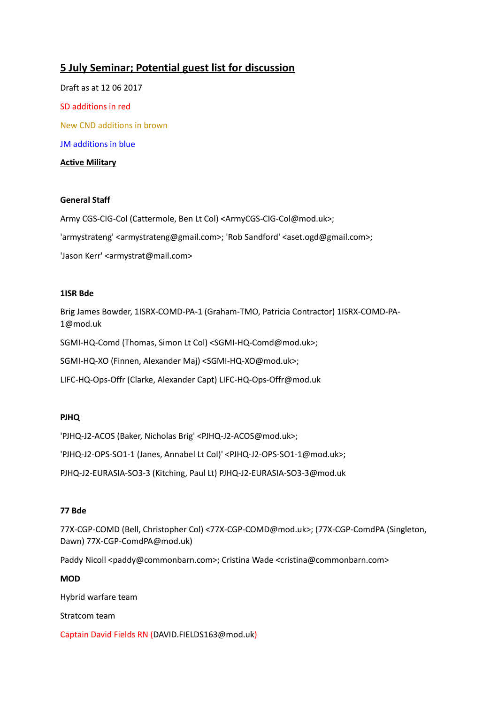# **5 July Seminar; Potential guest list for discussion**

Draft as at 12 06 2017 SD additions in red New CND additions in brown JM additions in blue **Active Military**

# **General Staff**

Army CGS-CIG-Col (Cattermole, Ben Lt Col) <ArmyCGS-CIG-Col@mod.uk>;

'armystrateng' <armystrateng@gmail.com>; 'Rob Sandford' <aset.ogd@gmail.com>;

'Jason Kerr' <armystrat@mail.com>

## **1ISR Bde**

Brig James Bowder, 1ISRX-COMD-PA-1 (Graham-TMO, Patricia Contractor) [1ISRX-COMD-PA-](mailto:1ISRX-COMD-PA-1@mod.uk)[1@mod.uk](mailto:1ISRX-COMD-PA-1@mod.uk)

SGMI-HQ-Comd (Thomas, Simon Lt Col) <SGMI-HQ-Comd@mod.uk>;

SGMI-HQ-XO (Finnen, Alexander Maj) <SGMI-HQ-XO@mod.uk>;

LIFC-HQ-Ops-Offr (Clarke, Alexander Capt) [LIFC-HQ-Ops-Offr@mod.uk](mailto:LIFC-HQ-Ops-Offr@mod.uk)

## **PJHQ**

'PJHQ-J2-ACOS (Baker, Nicholas Brig' <PJHQ-J2-ACOS@mod.uk>;

'PJHQ-J2-OPS-SO1-1 (Janes, Annabel Lt Col)' <PJHQ-J2-OPS-SO1-1@mod.uk>;

PJHQ-J2-EURASIA-SO3-3 (Kitching, Paul Lt) [PJHQ-J2-EURASIA-SO3-3@mod.uk](mailto:PJHQ-J2-EURASIA-SO3-3@mod.uk)

## **77 Bde**

77X-CGP-COMD (Bell, Christopher Col) <77X-CGP-COMD@mod.uk>; (77X-CGP-ComdPA (Singleton, Dawn[\) 77X-CGP-ComdPA@mod.uk\)](mailto:77X-CGP-ComdPA@mod.uk)

Paddy Nicoll <paddy@commonbarn.com>; Cristina Wade <cristina@commonbarn.com>

## **MOD**

Hybrid warfare team

Stratcom team

Captain David Fields RN [\(DAVID.FIELDS163@mod.uk\)](mailto:DAVID.FIELDS163@mod.uk)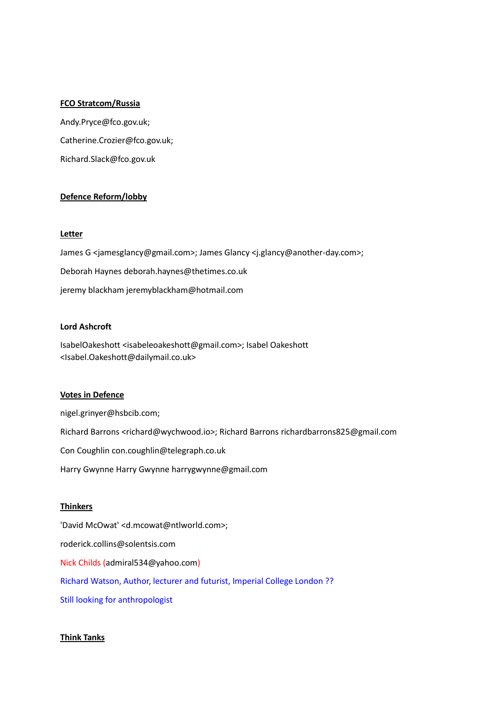#### **FCO Stratcom/Russia**

[Andy.Pryce@fco.gov.uk;](mailto:Andy.Pryce@fco.gov.uk) [Catherine.Crozier@fco.gov.uk;](mailto:Catherine.Crozier@fco.gov.uk) [Richard.Slack@fco.gov.uk](mailto:Richard.Slack@fco.gov.uk)

## **Defence Reform/lobby**

#### **Letter**

James G <jamesglancy@gmail.com>; James Glancy <j.glancy@another-day.com>; Deborah Haynes [deborah.haynes@thetimes.co.uk](mailto:deborah.haynes@thetimes.co.uk) jeremy blackham [jeremyblackham@hotmail.com](mailto:jeremyblackham@hotmail.com)

## **Lord Ashcroft**

IsabelOakeshott <isabeleoakeshott@gmail.com>; Isabel Oakeshott <Isabel.Oakeshott@dailymail.co.uk>

## **Votes in Defence**

[nigel.grinyer@hsbcib.com;](mailto:nigel.grinyer@hsbcib.com) Richard Barrons <richard@wychwood.io>; Richard Barron[s richardbarrons825@gmail.com](mailto:richardbarrons825@gmail.com) Con Coughli[n con.coughlin@telegraph.co.uk](mailto:con.coughlin@telegraph.co.uk) Harry Gwynne Harry Gwynne [harrygwynne@gmail.com](mailto:harrygwynne@gmail.com)

## **Thinkers**

'David McOwat' <d.mcowat@ntlworld.com>; [roderick.collins@solentsis.com](mailto:roderick.collins@solentsis.com) Nick Childs [\(admiral534@yahoo.com\)](mailto:admiral534@yahoo.com) Richard Watson, Author, lecturer and futurist, Imperial College London ?? Still looking for anthropologist

## **Think Tanks**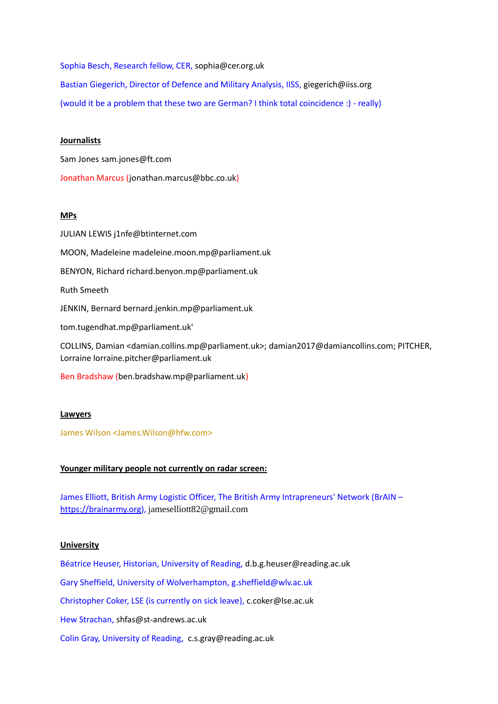Sophia Besch, Research fellow, CER, [sophia@cer.org.uk](mailto:sophia@cer.org.uk) Bastian Giegerich, Director of Defence and Military Analysis, IISS, [giegerich@iiss.org](mailto:giegerich@iiss.org) (would it be a problem that these two are German? I think total coincidence :) - really)

#### **Journalists**

Sam Jones [sam.jones@ft.com](mailto:sam.jones@ft.com)

Jonathan Marcus [\(jonathan.marcus@bbc.co.uk\)](mailto:jonathan.marcus@bbc.co.uk)

### **MPs**

JULIAN LEWIS [j1nfe@btinternet.com](mailto:j1nfe@btinternet.com) MOON, Madelein[e madeleine.moon.mp@parliament.uk](mailto:madeleine.moon.mp@parliament.uk) BENYON, Richard [richard.benyon.mp@parliament.uk](mailto:richard.benyon.mp@parliament.uk) Ruth Smeeth JENKIN, Bernard [bernard.jenkin.mp@parliament.uk](mailto:bernard.jenkin.mp@parliament.uk) [tom.tugendhat.mp@parliament.uk'](mailto:tom.tugendhat.mp@parliament.uk) COLLINS, Damian <damian.collins.mp@parliament.uk>; damian2017@damiancollins.com; PITCHER, Lorrain[e lorraine.pitcher@parliament.uk](mailto:lorraine.pitcher@parliament.uk)

Ben Bradshaw [\(ben.bradshaw.mp@parliament.uk\)](mailto:ben.bradshaw.mp@parliament.uk)

## **Lawyers**

James Wilson <James.Wilson@hfw.com>

## **Younger military people not currently on radar screen:**

James Elliott, British Army Logistic Officer, The British Army Intrapreneurs' Network (BrAIN – [https://brainarmy.org\)](https://brainarmy.org/), [jameselliott82@gmail.com](mailto:jameselliott82@gmail.com)

## **University**

Béatrice Heuser, Historian, University of Reading, [d.b.g.heuser@reading.ac.uk](mailto:d.b.g.heuser@reading.ac.uk) Gary Sheffield, University of Wolverhampton[, g.sheffield@wlv.ac.uk](mailto:g.sheffield@wlv.ac.uk) Christopher Coker, LSE (is currently on sick leave), [c.coker@lse.ac.uk](mailto:c.coker@lse.ac.uk) Hew Strachan, [shfas@st-andrews.ac.uk](mailto:shfas@st-andrews.ac.uk) Colin Gray, University of Reading, [c.s.gray@reading.ac.uk](mailto:c.s.gray%40reading.ac.uk)